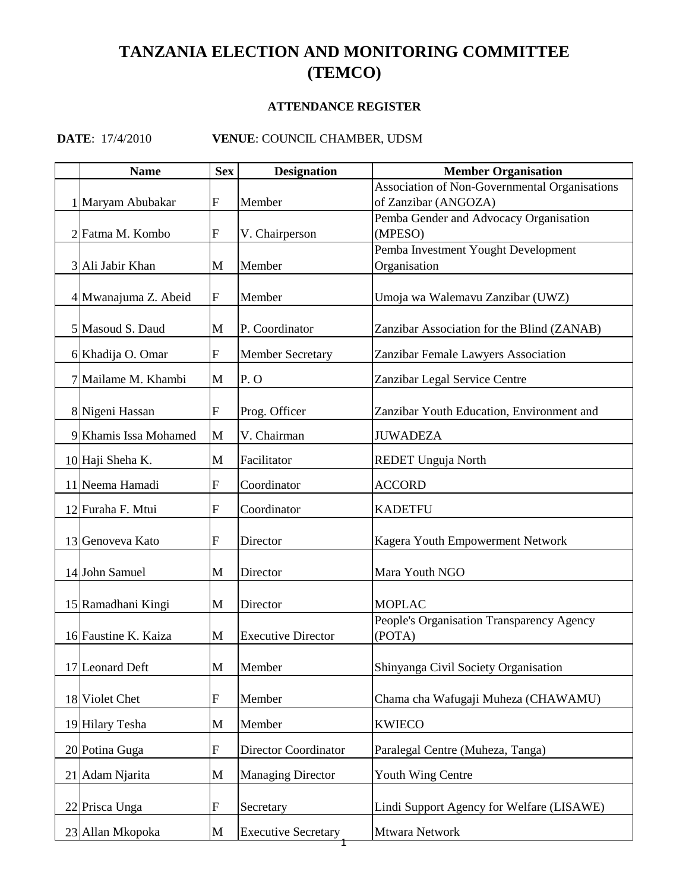## **TANZANIA ELECTION AND MONITORING COMMITTEE (TEMCO)**

## **ATTENDANCE REGISTER**

## **DATE**: 17/4/2010 **VENUE**: COUNCIL CHAMBER, UDSM

| <b>Name</b>           | <b>Sex</b>   | <b>Designation</b>          | <b>Member Organisation</b>                          |
|-----------------------|--------------|-----------------------------|-----------------------------------------------------|
|                       |              |                             | Association of Non-Governmental Organisations       |
| 1 Maryam Abubakar     | $\mathbf{F}$ | Member                      | of Zanzibar (ANGOZA)                                |
|                       |              |                             | Pemba Gender and Advocacy Organisation              |
| 2 Fatma M. Kombo      | ${\rm F}$    | V. Chairperson              | (MPESO)                                             |
| 3 Ali Jabir Khan      | M            | Member                      | Pemba Investment Yought Development<br>Organisation |
|                       |              |                             |                                                     |
| 4 Mwanajuma Z. Abeid  | $\mathbf{F}$ | Member                      | Umoja wa Walemavu Zanzibar (UWZ)                    |
| 5 Masoud S. Daud      | M            | P. Coordinator              | Zanzibar Association for the Blind (ZANAB)          |
| 6 Khadija O. Omar     | ${\bf F}$    | <b>Member Secretary</b>     | Zanzibar Female Lawyers Association                 |
| 7 Mailame M. Khambi   | M            | P.O                         | Zanzibar Legal Service Centre                       |
| 8 Nigeni Hassan       | $\mathbf F$  | Prog. Officer               | Zanzibar Youth Education, Environment and           |
| 9 Khamis Issa Mohamed | M            | V. Chairman                 | <b>JUWADEZA</b>                                     |
| 10 Haji Sheha K.      | M            | Facilitator                 | <b>REDET Unguja North</b>                           |
| 11 Neema Hamadi       | F            | Coordinator                 | <b>ACCORD</b>                                       |
| 12 Furaha F. Mtui     | ${\bf F}$    | Coordinator                 | <b>KADETFU</b>                                      |
| 13 Genoveva Kato      | F            | Director                    | Kagera Youth Empowerment Network                    |
| 14 John Samuel        | M            | Director                    | Mara Youth NGO                                      |
| 15 Ramadhani Kingi    | M            | Director                    | <b>MOPLAC</b>                                       |
| 16 Faustine K. Kaiza  | M            | <b>Executive Director</b>   | People's Organisation Transparency Agency<br>(POTA) |
| 17 Leonard Deft       | M            | Member                      | Shinyanga Civil Society Organisation                |
| 18 Violet Chet        | ${\bf F}$    | Member                      | Chama cha Wafugaji Muheza (CHAWAMU)                 |
| 19 Hilary Tesha       | M            | Member                      | <b>KWIECO</b>                                       |
| 20 Potina Guga        | F            | <b>Director Coordinator</b> | Paralegal Centre (Muheza, Tanga)                    |
| 21 Adam Njarita       | M            | <b>Managing Director</b>    | Youth Wing Centre                                   |
| 22 Prisca Unga        | ${\bf F}$    | Secretary                   | Lindi Support Agency for Welfare (LISAWE)           |
| 23 Allan Mkopoka      | M            | <b>Executive Secretary</b>  | Mtwara Network                                      |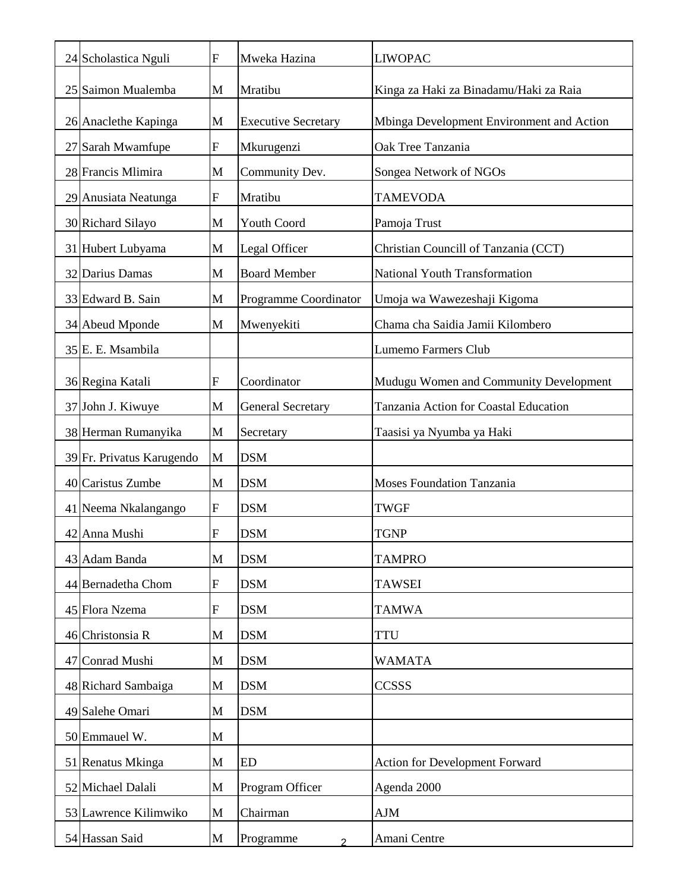| 24 Scholastica Nguli      | ${\rm F}$ | Mweka Hazina               | <b>LIWOPAC</b>                            |
|---------------------------|-----------|----------------------------|-------------------------------------------|
| 25 Saimon Mualemba        | M         | Mratibu                    | Kinga za Haki za Binadamu/Haki za Raia    |
| 26 Anaclethe Kapinga      | M         | <b>Executive Secretary</b> | Mbinga Development Environment and Action |
| 27 Sarah Mwamfupe         | ${\rm F}$ | Mkurugenzi                 | Oak Tree Tanzania                         |
| 28 Francis Mlimira        | M         | Community Dev.             | Songea Network of NGOs                    |
| 29 Anusiata Neatunga      | F         | Mratibu                    | <b>TAMEVODA</b>                           |
| 30 Richard Silayo         | M         | <b>Youth Coord</b>         | Pamoja Trust                              |
| 31 Hubert Lubyama         | M         | Legal Officer              | Christian Councill of Tanzania (CCT)      |
| 32 Darius Damas           | M         | <b>Board Member</b>        | National Youth Transformation             |
| 33 Edward B. Sain         | M         | Programme Coordinator      | Umoja wa Wawezeshaji Kigoma               |
| 34 Abeud Mponde           | M         | Mwenyekiti                 | Chama cha Saidia Jamii Kilombero          |
| 35 E. E. Msambila         |           |                            | <b>Lumemo Farmers Club</b>                |
| 36 Regina Katali          | ${\rm F}$ | Coordinator                | Mudugu Women and Community Development    |
| 37 John J. Kiwuye         | M         | <b>General Secretary</b>   | Tanzania Action for Coastal Education     |
| 38 Herman Rumanyika       | M         | Secretary                  | Taasisi ya Nyumba ya Haki                 |
| 39 Fr. Privatus Karugendo | M         | <b>DSM</b>                 |                                           |
| 40 Caristus Zumbe         | M         | <b>DSM</b>                 | <b>Moses Foundation Tanzania</b>          |
| 41 Neema Nkalangango      | F         | <b>DSM</b>                 | <b>TWGF</b>                               |
| 42 Anna Mushi             | F         | <b>DSM</b>                 | <b>TGNP</b>                               |
| 43 Adam Banda             | M         | <b>DSM</b>                 | <b>TAMPRO</b>                             |
| 44 Bernadetha Chom        | ${\bf F}$ | <b>DSM</b>                 | <b>TAWSEI</b>                             |
| 45 Flora Nzema            | F         | <b>DSM</b>                 | <b>TAMWA</b>                              |
| 46 Christonsia R          | M         | <b>DSM</b>                 | <b>TTU</b>                                |
| 47 Conrad Mushi           | M         | <b>DSM</b>                 | <b>WAMATA</b>                             |
| 48 Richard Sambaiga       | M         | <b>DSM</b>                 | <b>CCSSS</b>                              |
| 49 Salehe Omari           | M         | <b>DSM</b>                 |                                           |
| 50 Emmauel W.             | M         |                            |                                           |
| 51 Renatus Mkinga         | M         | <b>ED</b>                  | <b>Action for Development Forward</b>     |
| 52 Michael Dalali         | M         | Program Officer            | Agenda 2000                               |
| 53 Lawrence Kilimwiko     | M         | Chairman                   | AJM                                       |
| 54 Hassan Said            | M         | Programme                  | Amani Centre                              |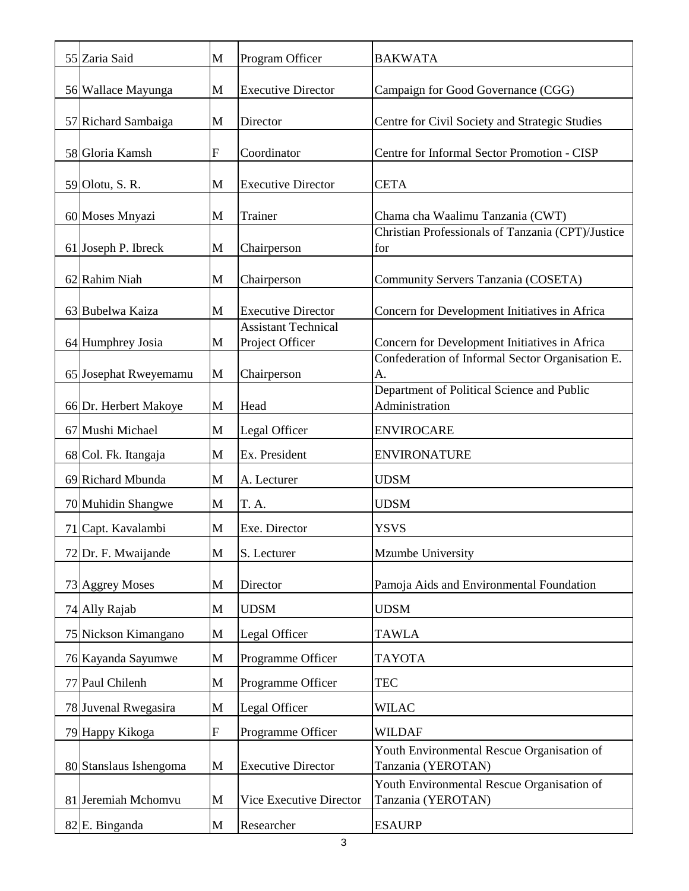| 55 Zaria Said          | M           | Program Officer            | <b>BAKWATA</b>                                                   |
|------------------------|-------------|----------------------------|------------------------------------------------------------------|
| 56 Wallace Mayunga     | M           | <b>Executive Director</b>  | Campaign for Good Governance (CGG)                               |
| 57 Richard Sambaiga    | M           | Director                   | Centre for Civil Society and Strategic Studies                   |
| 58 Gloria Kamsh        | $\mathbf F$ | Coordinator                | Centre for Informal Sector Promotion - CISP                      |
| 59 Olotu, S. R.        | M           | <b>Executive Director</b>  | <b>CETA</b>                                                      |
| 60 Moses Mnyazi        | M           | Trainer                    | Chama cha Waalimu Tanzania (CWT)                                 |
| 61 Joseph P. Ibreck    | M           | Chairperson                | Christian Professionals of Tanzania (CPT)/Justice<br>for         |
|                        |             |                            |                                                                  |
| 62 Rahim Niah          | M           | Chairperson                | Community Servers Tanzania (COSETA)                              |
| 63 Bubelwa Kaiza       | M           | <b>Executive Director</b>  | Concern for Development Initiatives in Africa                    |
|                        |             | <b>Assistant Technical</b> |                                                                  |
| 64 Humphrey Josia      | M           | Project Officer            | Concern for Development Initiatives in Africa                    |
|                        | M           | Chairperson                | Confederation of Informal Sector Organisation E.<br>A.           |
| 65 Josephat Rweyemamu  |             |                            | Department of Political Science and Public                       |
| 66 Dr. Herbert Makoye  | M           | Head                       | Administration                                                   |
| 67 Mushi Michael       | M           | Legal Officer              | <b>ENVIROCARE</b>                                                |
| 68 Col. Fk. Itangaja   | M           | Ex. President              | <b>ENVIRONATURE</b>                                              |
| 69 Richard Mbunda      | M           | A. Lecturer                | <b>UDSM</b>                                                      |
| 70 Muhidin Shangwe     | M           | T. A.                      | <b>UDSM</b>                                                      |
| 71 Capt. Kavalambi     | M           | Exe. Director              | <b>YSVS</b>                                                      |
| 72 Dr. F. Mwaijande    | M           | S. Lecturer                | Mzumbe University                                                |
| 73 Aggrey Moses        | M           | Director                   | Pamoja Aids and Environmental Foundation                         |
| 74 Ally Rajab          | M           | <b>UDSM</b>                | <b>UDSM</b>                                                      |
| 75 Nickson Kimangano   | M           | Legal Officer              | <b>TAWLA</b>                                                     |
| 76 Kayanda Sayumwe     | M           | Programme Officer          | <b>TAYOTA</b>                                                    |
| 77 Paul Chilenh        | M           | Programme Officer          | <b>TEC</b>                                                       |
| 78 Juvenal Rwegasira   | M           | Legal Officer              | <b>WILAC</b>                                                     |
| 79 Happy Kikoga        | ${\bf F}$   | Programme Officer          | <b>WILDAF</b>                                                    |
| 80 Stanslaus Ishengoma | M           | <b>Executive Director</b>  | Youth Environmental Rescue Organisation of<br>Tanzania (YEROTAN) |
| 81 Jeremiah Mchomvu    | M           | Vice Executive Director    | Youth Environmental Rescue Organisation of<br>Tanzania (YEROTAN) |
| 82 E. Binganda         | M           | Researcher                 | <b>ESAURP</b>                                                    |